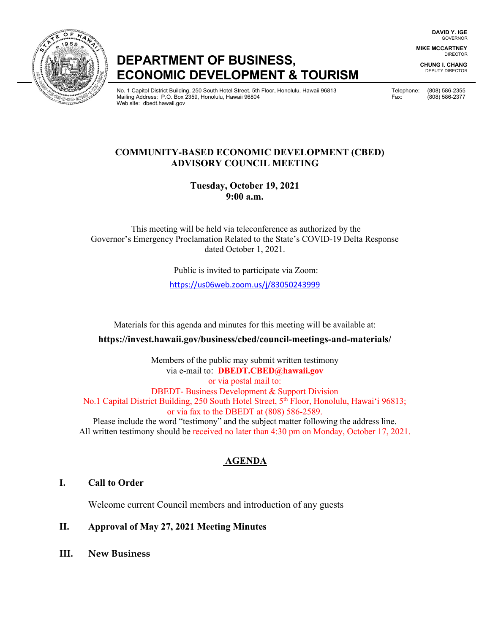**DAVID Y. IGE** GOVERNOR

**MIKE MCCARTNEY** DIRECTOR

**CHUNG I. CHANG** DEPUTY DIRECTOR

# **DEPARTMENT OF BUSINESS, ECONOMIC DEVELOPMENT & TOURISM**

No. 1 Capitol District Building, 250 South Hotel Street, 5th Floor, Honolulu, Hawaii 96813 Telephone: (808) 586-2355 Mailing Address: P.O. Box 2359, Honolulu, Hawaii 96804 Fax: (808) 586-2377 Web site: dbedt.hawaii.gov

### **COMMUNITY-BASED ECONOMIC DEVELOPMENT (CBED) ADVISORY COUNCIL MEETING**

**Tuesday, October 19, 2021 9:00 a.m.**

This meeting will be held via teleconference as authorized by the Governor's Emergency Proclamation Related to the State's COVID-19 Delta Response dated October 1, 2021.

Public is invited to participate via Zoom:

<https://us06web.zoom.us/j/83050243999>

Materials for this agenda and minutes for this meeting will be available at:

**https://invest.hawaii.gov/business/cbed/council-meetings-and-materials/**

Members of the public may submit written testimony via e-mail to: **DBEDT.CBED@hawaii.gov** or via postal mail to: DBEDT- Business Development & Support Division No.1 Capital District Building, 250 South Hotel Street, 5<sup>th</sup> Floor, Honolulu, Hawai'i 96813; or via fax to the DBEDT at (808) 586-2589. Please include the word "testimony" and the subject matter following the address line. All written testimony should be received no later than 4:30 pm on Monday, October 17, 2021.

## **AGENDA**

#### **I. Call to Order**

Welcome current Council members and introduction of any guests

#### **II. Approval of May 27, 2021 Meeting Minutes**

**III. New Business**